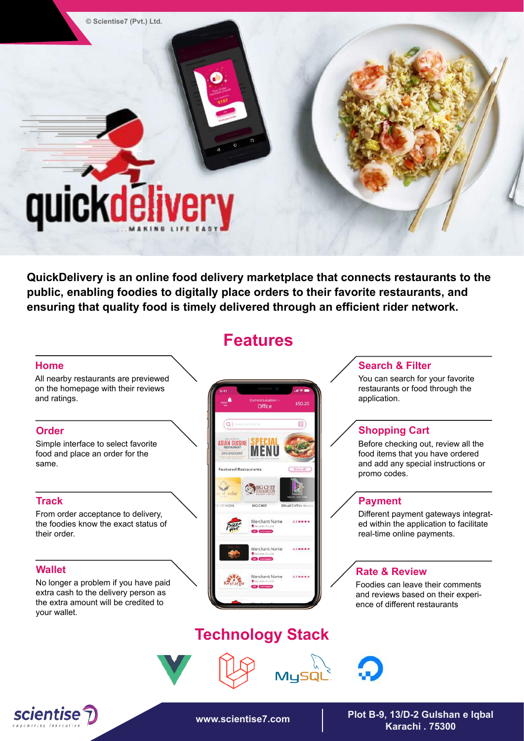**© Scientise7 (Pvt.) Ltd.**

# quickdelivery

**QuickDelivery is an online food delivery marketplace that connects restaurants to the public, enabling foodies to digitally place orders to their favorite restaurants, and ensuring that quality food is timely delivered through an efficient rider network.**

## **Home**

All nearby restaurants are previewed on the homepage with their reviews and ratings.

## **Order**

Simple interface to select favorite food and place an order for the same.

## **Track**

From order acceptance to delivery, the foodies know the exact status of their order.

## **Wallet**

No longer a problem if you have paid extra cash to the delivery person as the extra amount will be credited to your wallet.

# **Features**



# **Technology Stack**



**www.scientise7.com Plot B-9, 13/D-2 Gulshan e Iqbal Karachi . 75300** 

## **Search & Filter**

You can search for your favorite restaurants or food through the application.

## **Shopping Cart**

Before checking out, review all the food items that you have ordered and add any special instructions or promo codes.

## **Payment**

Different payment gateways integrated within the application to facilitate real-time online payments.

### **Rate & Review**

Foodies can leave their comments and reviews based on their experience of different restaurants